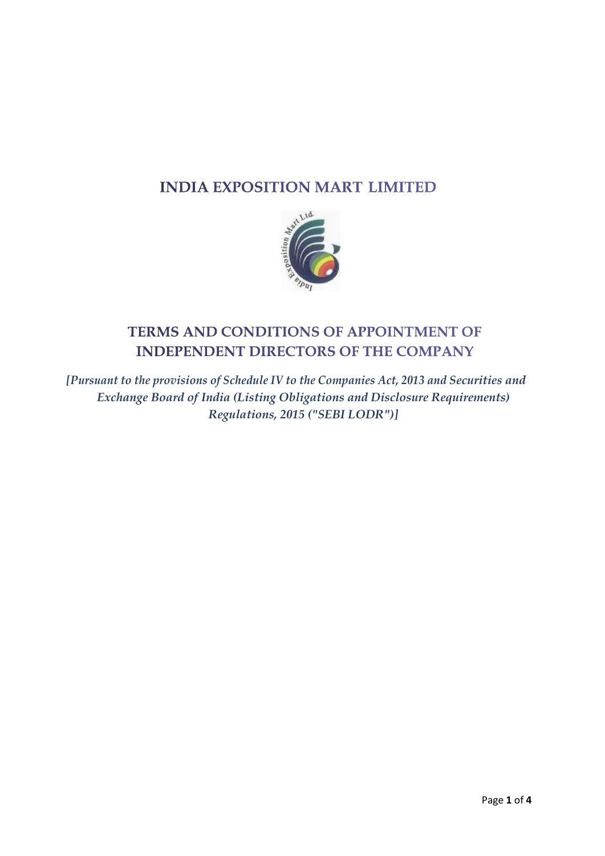# **INDIA EXPOSITION MART LIMITED**



# TERMS AND CONDITIONS OF APPOINTMENT OF **INDEPENDENT DIRECTORS OF THE COMPANY**

*[Pursuant to the provisions of Schedule IV to the Companies Act, 2013 and Securities and Exchange Board of India (Listing Obligations and Disclosure Requirements) Regulations, 2015 ("SEBI LODR")]*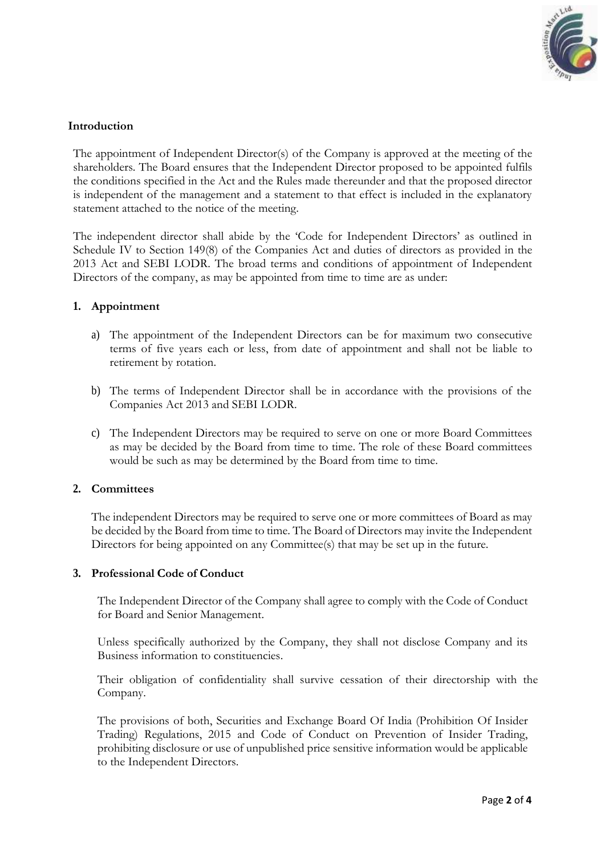

## **Introduction**

The appointment of Independent Director(s) of the Company is approved at the meeting of the shareholders. The Board ensures that the Independent Director proposed to be appointed fulfils the conditions specified in the Act and the Rules made thereunder and that the proposed director is independent of the management and a statement to that effect is included in the explanatory statement attached to the notice of the meeting.

The independent director shall abide by the 'Code for Independent Directors' as outlined in Schedule IV to Section 149(8) of the Companies Act and duties of directors as provided in the 2013 Act and SEBI LODR. The broad terms and conditions of appointment of Independent Directors of the company, as may be appointed from time to time are as under:

#### **1. Appointment**

- a) The appointment of the Independent Directors can be for maximum two consecutive terms of five years each or less, from date of appointment and shall not be liable to retirement by rotation.
- b) The terms of Independent Director shall be in accordance with the provisions of the Companies Act 2013 and SEBI LODR.
- c) The Independent Directors may be required to serve on one or more Board Committees as may be decided by the Board from time to time. The role of these Board committees would be such as may be determined by the Board from time to time.

#### **2. Committees**

The independent Directors may be required to serve one or more committees of Board as may be decided by the Board from time to time. The Board of Directors may invite the Independent Directors for being appointed on any Committee(s) that may be set up in the future.

#### **3. Professional Code of Conduct**

The Independent Director of the Company shall agree to comply with the Code of Conduct for Board and Senior Management.

Unless specifically authorized by the Company, they shall not disclose Company and its Business information to constituencies.

Their obligation of confidentiality shall survive cessation of their directorship with the Company.

The provisions of both, Securities and Exchange Board Of India (Prohibition Of Insider Trading) Regulations, 2015 and Code of Conduct on Prevention of Insider Trading, prohibiting disclosure or use of unpublished price sensitive information would be applicable to the Independent Directors.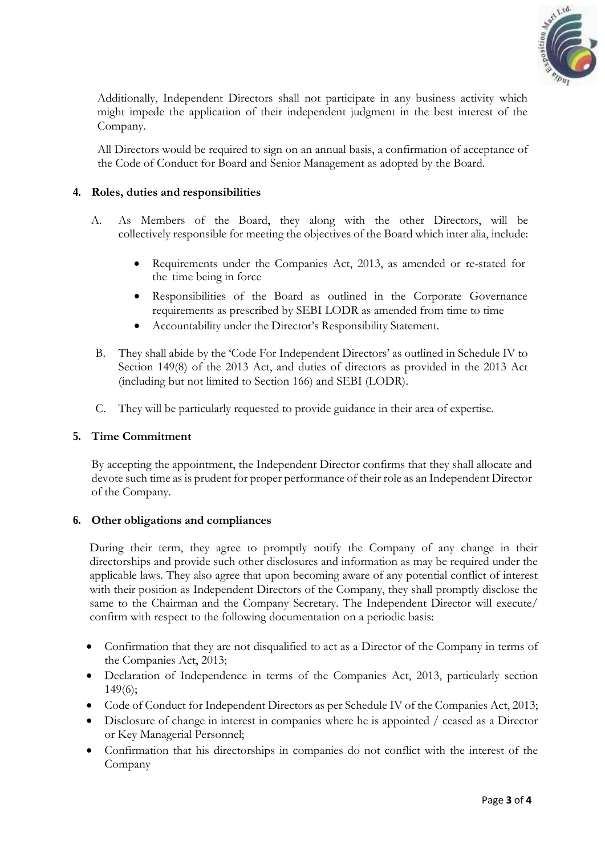

Additionally, Independent Directors shall not participate in any business activity which might impede the application of their independent judgment in the best interest of the Company.

All Directors would be required to sign on an annual basis, a confirmation of acceptance of the Code of Conduct for Board and Senior Management as adopted by the Board.

## **4. Roles, duties and responsibilities**

- A. As Members of the Board, they along with the other Directors, will be collectively responsible for meeting the objectives of the Board which inter alia, include:
	- Requirements under the Companies Act, 2013, as amended or re-stated for the time being in force
	- Responsibilities of the Board as outlined in the Corporate Governance requirements as prescribed by SEBI LODR as amended from time to time
	- Accountability under the Director's Responsibility Statement.
- B. They shall abide by the 'Code For Independent Directors' as outlined in Schedule IV to Section 149(8) of the 2013 Act, and duties of directors as provided in the 2013 Act (including but not limited to Section 166) and SEBI (LODR).
- C. They will be particularly requested to provide guidance in their area of expertise.

#### **5. Time Commitment**

By accepting the appointment, the Independent Director confirms that they shall allocate and devote such time as is prudent for proper performance of their role as an Independent Director of the Company.

#### **6. Other obligations and compliances**

During their term, they agree to promptly notify the Company of any change in their directorships and provide such other disclosures and information as may be required under the applicable laws. They also agree that upon becoming aware of any potential conflict of interest with their position as Independent Directors of the Company, they shall promptly disclose the same to the Chairman and the Company Secretary. The Independent Director will execute/ confirm with respect to the following documentation on a periodic basis:

- Confirmation that they are not disqualified to act as a Director of the Company in terms of the Companies Act, 2013;
- Declaration of Independence in terms of the Companies Act, 2013, particularly section 149(6);
- Code of Conduct for Independent Directors as per Schedule IV of the Companies Act, 2013;
- Disclosure of change in interest in companies where he is appointed / ceased as a Director or Key Managerial Personnel;
- Confirmation that his directorships in companies do not conflict with the interest of the Company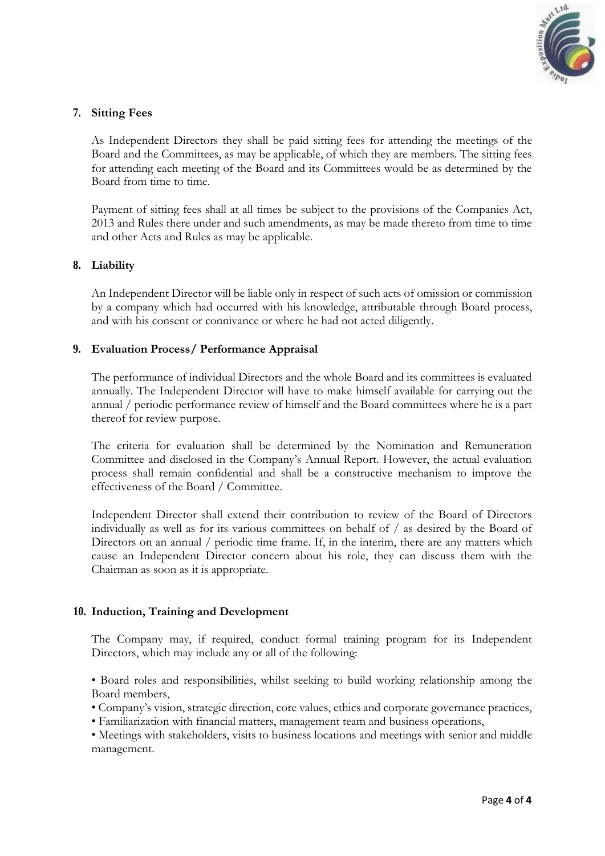

## **7. Sitting Fees**

As Independent Directors they shall be paid sitting fees for attending the meetings of the Board and the Committees, as may be applicable, of which they are members. The sitting fees for attending each meeting of the Board and its Committees would be as determined by the Board from time to time.

Payment of sitting fees shall at all times be subject to the provisions of the Companies Act, 2013 and Rules there under and such amendments, as may be made thereto from time to time and other Acts and Rules as may be applicable.

#### **8. Liability**

An Independent Director will be liable only in respect of such acts of omission or commission by a company which had occurred with his knowledge, attributable through Board process, and with his consent or connivance or where he had not acted diligently.

#### **9. Evaluation Process/ Performance Appraisal**

The performance of individual Directors and the whole Board and its committees is evaluated annually. The Independent Director will have to make himself available for carrying out the annual / periodic performance review of himself and the Board committees where he is a part thereof for review purpose.

The criteria for evaluation shall be determined by the Nomination and Remuneration Committee and disclosed in the Company's Annual Report. However, the actual evaluation process shall remain confidential and shall be a constructive mechanism to improve the effectiveness of the Board / Committee.

Independent Director shall extend their contribution to review of the Board of Directors individually as well as for its various committees on behalf of / as desired by the Board of Directors on an annual / periodic time frame. If, in the interim, there are any matters which cause an Independent Director concern about his role, they can discuss them with the Chairman as soon as it is appropriate.

#### **10. Induction, Training and Development**

The Company may, if required, conduct formal training program for its Independent Directors, which may include any or all of the following:

• Board roles and responsibilities, whilst seeking to build working relationship among the Board members,

• Company's vision, strategic direction, core values, ethics and corporate governance practices,

• Familiarization with financial matters, management team and business operations,

• Meetings with stakeholders, visits to business locations and meetings with senior and middle management.